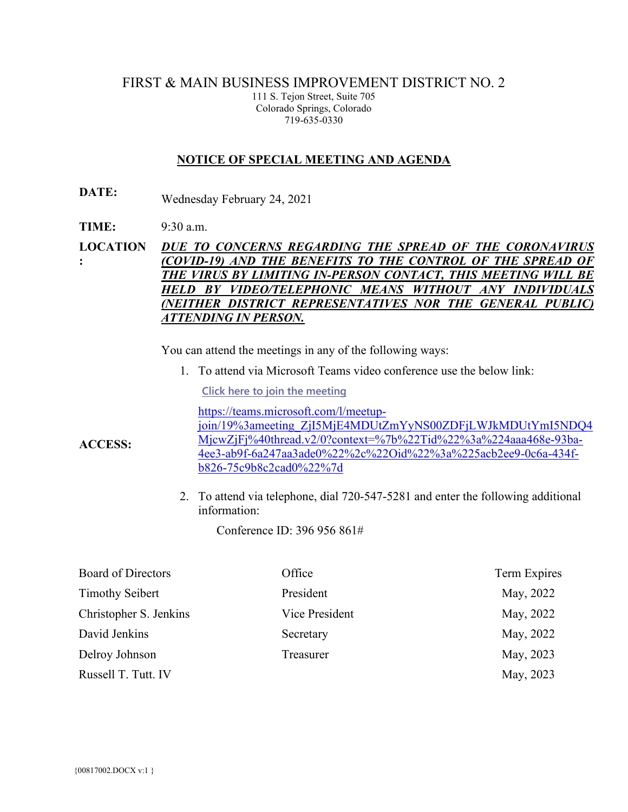## FIRST & MAIN BUSINESS IMPROVEMENT DISTRICT NO. 2

111 S. Tejon Street, Suite 705 Colorado Springs, Colorado 719-635-0330

#### **NOTICE OF SPECIAL MEETING AND AGENDA**

- **DATE:** Wednesday February 24, 2021
- **TIME:** 9:30 a.m.

**LOCATION :** *DUE TO CONCERNS REGARDING THE SPREAD OF THE CORONAVIRUS (COVID-19) AND THE BENEFITS TO THE CONTROL OF THE SPREAD OF THE VIRUS BY LIMITING IN-PERSON CONTACT, THIS MEETING WILL BE HELD BY VIDEO/TELEPHONIC MEANS WITHOUT ANY INDIVIDUALS (NEITHER DISTRICT REPRESENTATIVES NOR THE GENERAL PUBLIC) ATTENDING IN PERSON.*

You can attend the meetings in any of the following ways:

1. To attend via Microsoft Teams video conference use the below link:

**[Click here to join the meeting](https://teams.microsoft.com/l/meetup-join/19%3ameeting_ZjI5MjE4MDUtZmYyNS00ZDFjLWJkMDUtYmI5NDQ4MjcwZjFj%40thread.v2/0?context=%7b%22Tid%22%3a%224aaa468e-93ba-4ee3-ab9f-6a247aa3ade0%22%2c%22Oid%22%3a%225acb2ee9-0c6a-434f-b826-75c9b8c2cad0%22%7d)**

[https://teams.microsoft.com/l/meetup](https://teams.microsoft.com/l/meetup-join/19%3ameeting_ZjI5MjE4MDUtZmYyNS00ZDFjLWJkMDUtYmI5NDQ4MjcwZjFj%40thread.v2/0?context=%7b%22Tid%22%3a%224aaa468e-93ba-4ee3-ab9f-6a247aa3ade0%22%2c%22Oid%22%3a%225acb2ee9-0c6a-434f-b826-75c9b8c2cad0%22%7d)[join/19%3ameeting\\_ZjI5MjE4MDUtZmYyNS00ZDFjLWJkMDUtYmI5NDQ4](https://teams.microsoft.com/l/meetup-join/19%3ameeting_ZjI5MjE4MDUtZmYyNS00ZDFjLWJkMDUtYmI5NDQ4MjcwZjFj%40thread.v2/0?context=%7b%22Tid%22%3a%224aaa468e-93ba-4ee3-ab9f-6a247aa3ade0%22%2c%22Oid%22%3a%225acb2ee9-0c6a-434f-b826-75c9b8c2cad0%22%7d) [MjcwZjFj%40thread.v2/0?context=%7b%22Tid%22%3a%224aaa468e-93ba-](https://teams.microsoft.com/l/meetup-join/19%3ameeting_ZjI5MjE4MDUtZmYyNS00ZDFjLWJkMDUtYmI5NDQ4MjcwZjFj%40thread.v2/0?context=%7b%22Tid%22%3a%224aaa468e-93ba-4ee3-ab9f-6a247aa3ade0%22%2c%22Oid%22%3a%225acb2ee9-0c6a-434f-b826-75c9b8c2cad0%22%7d)[4ee3-ab9f-6a247aa3ade0%22%2c%22Oid%22%3a%225acb2ee9-0c6a-434f](https://teams.microsoft.com/l/meetup-join/19%3ameeting_ZjI5MjE4MDUtZmYyNS00ZDFjLWJkMDUtYmI5NDQ4MjcwZjFj%40thread.v2/0?context=%7b%22Tid%22%3a%224aaa468e-93ba-4ee3-ab9f-6a247aa3ade0%22%2c%22Oid%22%3a%225acb2ee9-0c6a-434f-b826-75c9b8c2cad0%22%7d)[b826-75c9b8c2cad0%22%7d](https://teams.microsoft.com/l/meetup-join/19%3ameeting_ZjI5MjE4MDUtZmYyNS00ZDFjLWJkMDUtYmI5NDQ4MjcwZjFj%40thread.v2/0?context=%7b%22Tid%22%3a%224aaa468e-93ba-4ee3-ab9f-6a247aa3ade0%22%2c%22Oid%22%3a%225acb2ee9-0c6a-434f-b826-75c9b8c2cad0%22%7d)

2. To attend via telephone, dial 720-547-5281 and enter the following additional information:

Conference ID: 396 956 861#

| <b>Board of Directors</b> | Office         | Term Expires |
|---------------------------|----------------|--------------|
| <b>Timothy Seibert</b>    | President      | May, 2022    |
| Christopher S. Jenkins    | Vice President | May, 2022    |
| David Jenkins             | Secretary      | May, 2022    |
| Delroy Johnson            | Treasurer      | May, 2023    |
| Russell T. Tutt. IV       |                | May, 2023    |

**ACCESS:**